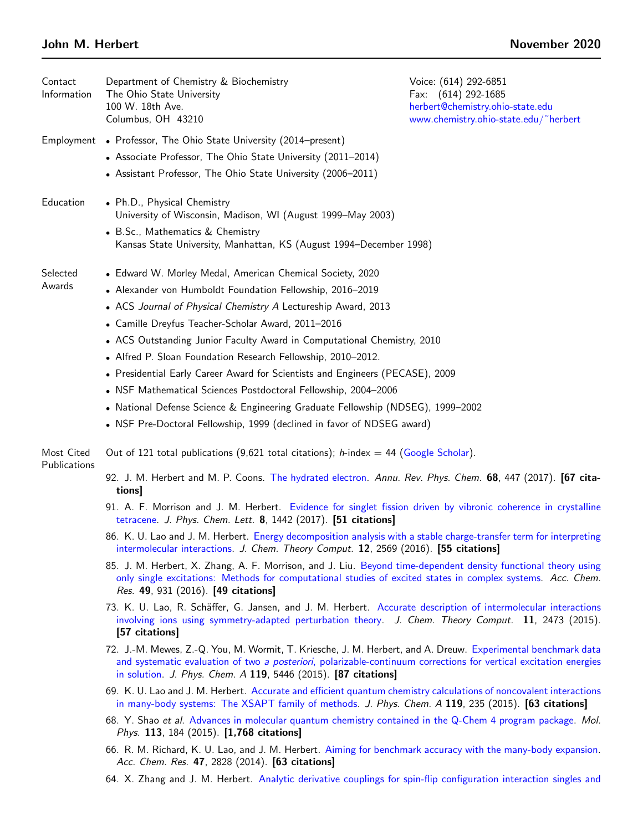| Contact<br>Information     | Department of Chemistry & Biochemistry<br>The Ohio State University<br>100 W. 18th Ave.<br>Columbus, OH 43210                                                                                                                                                                                       | Voice: (614) 292-6851<br>Fax: (614) 292-1685<br>herbert@chemistry.ohio-state.edu<br>www.chemistry.ohio-state.edu/"herbert |
|----------------------------|-----------------------------------------------------------------------------------------------------------------------------------------------------------------------------------------------------------------------------------------------------------------------------------------------------|---------------------------------------------------------------------------------------------------------------------------|
|                            | Employment • Professor, The Ohio State University (2014–present)                                                                                                                                                                                                                                    |                                                                                                                           |
|                            | • Associate Professor, The Ohio State University (2011-2014)<br>• Assistant Professor, The Ohio State University (2006-2011)                                                                                                                                                                        |                                                                                                                           |
| Education                  | • Ph.D., Physical Chemistry<br>University of Wisconsin, Madison, WI (August 1999-May 2003)                                                                                                                                                                                                          |                                                                                                                           |
|                            | • B.Sc., Mathematics & Chemistry<br>Kansas State University, Manhattan, KS (August 1994–December 1998)                                                                                                                                                                                              |                                                                                                                           |
| Selected<br>Awards         | • Edward W. Morley Medal, American Chemical Society, 2020                                                                                                                                                                                                                                           |                                                                                                                           |
|                            | • Alexander von Humboldt Foundation Fellowship, 2016-2019                                                                                                                                                                                                                                           |                                                                                                                           |
|                            | • ACS Journal of Physical Chemistry A Lectureship Award, 2013                                                                                                                                                                                                                                       |                                                                                                                           |
|                            | • Camille Dreyfus Teacher-Scholar Award, 2011-2016                                                                                                                                                                                                                                                  |                                                                                                                           |
|                            | • ACS Outstanding Junior Faculty Award in Computational Chemistry, 2010                                                                                                                                                                                                                             |                                                                                                                           |
|                            | • Alfred P. Sloan Foundation Research Fellowship, 2010-2012.                                                                                                                                                                                                                                        |                                                                                                                           |
|                            | • Presidential Early Career Award for Scientists and Engineers (PECASE), 2009                                                                                                                                                                                                                       |                                                                                                                           |
|                            | • NSF Mathematical Sciences Postdoctoral Fellowship, 2004-2006                                                                                                                                                                                                                                      |                                                                                                                           |
|                            | • National Defense Science & Engineering Graduate Fellowship (NDSEG), 1999–2002                                                                                                                                                                                                                     |                                                                                                                           |
|                            | • NSF Pre-Doctoral Fellowship, 1999 (declined in favor of NDSEG award)                                                                                                                                                                                                                              |                                                                                                                           |
| Most Cited<br>Publications | Out of 121 total publications (9,621 total citations); h-index = 44 (Google Scholar).                                                                                                                                                                                                               |                                                                                                                           |
|                            | 92. J. M. Herbert and M. P. Coons. The hydrated electron. Annu. Rev. Phys. Chem. 68, 447 (2017). [67 cita-<br>tions]                                                                                                                                                                                |                                                                                                                           |
|                            | 91. A. F. Morrison and J. M. Herbert. Evidence for singlet fission driven by vibronic coherence in crystalline<br>tetracene. J. Phys. Chem. Lett. 8, 1442 (2017). [51 citations]                                                                                                                    |                                                                                                                           |
|                            | 86. K. U. Lao and J. M. Herbert. Energy decomposition analysis with a stable charge-transfer term for interpreting<br>intermolecular interactions. J. Chem. Theory Comput. 12, 2569 (2016). [55 citations]                                                                                          |                                                                                                                           |
|                            | 85. J. M. Herbert, X. Zhang, A. F. Morrison, and J. Liu. Beyond time-dependent density functional theory using<br>only single excitations: Methods for computational studies of excited states in complex systems. Acc. Chem.<br>Res. 49, 931 (2016). [49 citations]                                |                                                                                                                           |
|                            | 73. K. U. Lao, R. Schäffer, G. Jansen, and J. M. Herbert. Accurate description of intermolecular interactions<br>involving ions using symmetry-adapted perturbation theory. J. Chem. Theory Comput. 11, 2473 (2015).<br>[57 citations]                                                              |                                                                                                                           |
|                            | 72. J.-M. Mewes, Z.-Q. You, M. Wormit, T. Kriesche, J. M. Herbert, and A. Dreuw. Experimental benchmark data<br>and systematic evaluation of two a posteriori, polarizable-continuum corrections for vertical excitation energies<br>in solution. J. Phys. Chem. A 119, 5446 (2015). [87 citations] |                                                                                                                           |
|                            | 69. K. U. Lao and J. M. Herbert. Accurate and efficient quantum chemistry calculations of noncovalent interactions<br>in many-body systems: The XSAPT family of methods. J. Phys. Chem. A 119, 235 (2015). [63 citations]                                                                           |                                                                                                                           |
|                            | 68. Y. Shao et al. Advances in molecular quantum chemistry contained in the Q-Chem 4 program package. Mol.<br>Phys. 113, 184 (2015). [1,768 citations]                                                                                                                                              |                                                                                                                           |
|                            | 66. R. M. Richard, K. U. Lao, and J. M. Herbert. Aiming for benchmark accuracy with the many-body expansion.<br>Acc. Chem. Res. 47, 2828 (2014). [63 citations]                                                                                                                                     |                                                                                                                           |
|                            | 64. X. Zhang and J. M. Herbert. Analytic derivative couplings for spin-flip configuration interaction singles and                                                                                                                                                                                   |                                                                                                                           |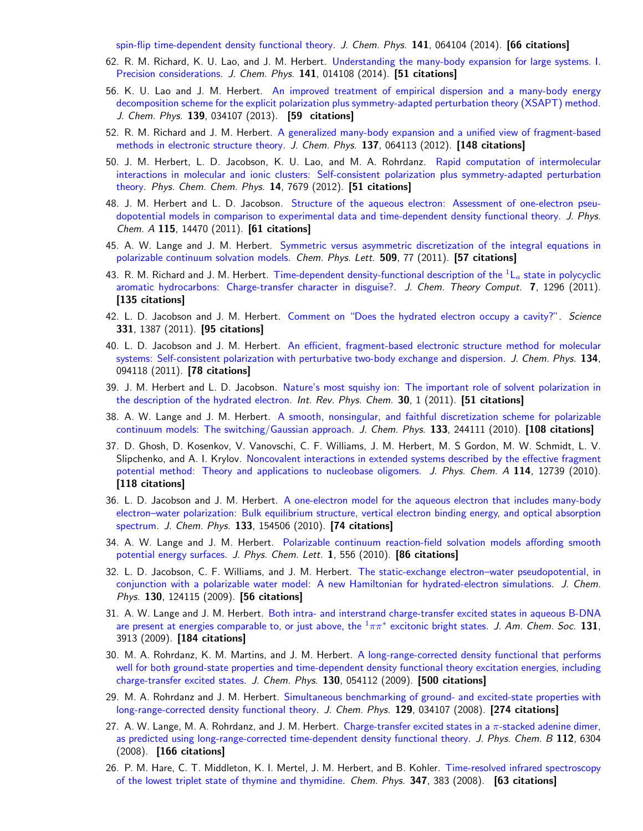[spin-flip time-dependent density functional theory.](http://www.asc.ohio-state.edu/herbert.44/reprints/JCP_141_064104) J. Chem. Phys. 141, 064104 (2014). [66 citations]

- 62. R. M. Richard, K. U. Lao, and J. M. Herbert. [Understanding the many-body expansion for large systems. I.](http://www.asc.ohio-state.edu/herbert.44/reprints/JCP_141_014108) [Precision considerations.](http://www.asc.ohio-state.edu/herbert.44/reprints/JCP_141_014108) J. Chem. Phys. 141, 014108 (2014). [51 citations]
- 56. K. U. Lao and J. M. Herbert. [An improved treatment of empirical dispersion and a many-body energy](http://www.asc.ohio-state.edu/herbert.44/reprints/JCP_139_034107) [decomposition scheme for the explicit polarization plus symmetry-adapted perturbation theory \(XSAPT\) method.](http://www.asc.ohio-state.edu/herbert.44/reprints/JCP_139_034107) J. Chem. Phys. 139, 034107 (2013). [59 citations]
- 52. R. M. Richard and J. M. Herbert. [A generalized many-body expansion and a unified view of fragment-based](http://www.asc.ohio-state.edu/herbert.44/reprints/JCP_137_064113) [methods in electronic structure theory.](http://www.asc.ohio-state.edu/herbert.44/reprints/JCP_137_064113) J. Chem. Phys. 137, 064113 (2012). [148 citations]
- 50. J. M. Herbert, L. D. Jacobson, K. U. Lao, and M. A. Rohrdanz. [Rapid computation of intermolecular](http://www.asc.ohio-state.edu/herbert.44/reprints/PCCP_14_7679) [interactions in molecular and ionic clusters: Self-consistent polarization plus symmetry-adapted perturbation](http://www.asc.ohio-state.edu/herbert.44/reprints/PCCP_14_7679) [theory.](http://www.asc.ohio-state.edu/herbert.44/reprints/PCCP_14_7679) Phys. Chem. Chem. Phys. 14, 7679 (2012). [51 citations]
- 48. J. M. Herbert and L. D. Jacobson. [Structure of the aqueous electron: Assessment of one-electron pseu](http://www.asc.ohio-state.edu/herbert.44/reprints/JPCA_115_14470)[dopotential models in comparison to experimental data and time-dependent density functional theory.](http://www.asc.ohio-state.edu/herbert.44/reprints/JPCA_115_14470) J. Phys. Chem. A 115, 14470 (2011). [61 citations]
- 45. A. W. Lange and J. M. Herbert. [Symmetric versus asymmetric discretization of the integral equations in](http://www.asc.ohio-state.edu/herbert.44/reprints/CPL_509_77) [polarizable continuum solvation models.](http://www.asc.ohio-state.edu/herbert.44/reprints/CPL_509_77) Chem. Phys. Lett. 509, 77 (2011). [57 citations]
- 43. R. M. Richard and J. M. Herbert. [Time-dependent density-functional description of the](http://www.asc.ohio-state.edu/herbert.44/reprints/JCTC_7_1296)  ${}^1L_a$  state in polycyclic [aromatic hydrocarbons: Charge-transfer character in disguise?.](http://www.asc.ohio-state.edu/herbert.44/reprints/JCTC_7_1296) J. Chem. Theory Comput. 7, 1296 (2011). [135 citations]
- 42. L. D. Jacobson and J. M. Herbert. [Comment on "Does the hydrated electron occupy a cavity?".](http://www.asc.ohio-state.edu/herbert.44/reprints/Science_331_1387) Science 331, 1387 (2011). [95 citations]
- 40. L. D. Jacobson and J. M. Herbert. [An efficient, fragment-based electronic structure method for molecular](http://www.asc.ohio-state.edu/herbert.44/reprints/JCP_134_094118) [systems: Self-consistent polarization with perturbative two-body exchange and dispersion.](http://www.asc.ohio-state.edu/herbert.44/reprints/JCP_134_094118) J. Chem. Phys. 134, 094118 (2011). [78 citations]
- 39. J. M. Herbert and L. D. Jacobson. [Nature's most squishy ion: The important role of solvent polarization in](http://www.asc.ohio-state.edu/herbert.44/reprints/IRPC_30_1) [the description of the hydrated electron.](http://www.asc.ohio-state.edu/herbert.44/reprints/IRPC_30_1) Int. Rev. Phys. Chem. 30, 1 (2011). [51 citations]
- 38. A. W. Lange and J. M. Herbert. [A smooth, nonsingular, and faithful discretization scheme for polarizable](http://www.asc.ohio-state.edu/herbert.44/reprints/JCP_133_244111) [continuum models: The switching/Gaussian approach.](http://www.asc.ohio-state.edu/herbert.44/reprints/JCP_133_244111) J. Chem. Phys. 133, 244111 (2010). [108 citations]
- 37. D. Ghosh, D. Kosenkov, V. Vanovschi, C. F. Williams, J. M. Herbert, M. S Gordon, M. W. Schmidt, L. V. Slipchenko, and A. I. Krylov. [Noncovalent interactions in extended systems described by the effective fragment](http://www.asc.ohio-state.edu/herbert.44/reprints/JPCA_114_12739) [potential method: Theory and applications to nucleobase oligomers.](http://www.asc.ohio-state.edu/herbert.44/reprints/JPCA_114_12739) J. Phys. Chem. A 114, 12739 (2010). [118 citations]
- 36. L. D. Jacobson and J. M. Herbert. [A one-electron model for the aqueous electron that includes many-body](http://www.asc.ohio-state.edu/herbert.44/reprints/JCP_133_154506) [electron–water polarization: Bulk equilibrium structure, vertical electron binding energy, and optical absorption](http://www.asc.ohio-state.edu/herbert.44/reprints/JCP_133_154506) [spectrum.](http://www.asc.ohio-state.edu/herbert.44/reprints/JCP_133_154506) J. Chem. Phys. 133, 154506 (2010). [74 citations]
- 34. A. W. Lange and J. M. Herbert. [Polarizable continuum reaction-field solvation models affording smooth](http://www.asc.ohio-state.edu/herbert.44/reprints/JPCL_1_556) [potential energy surfaces.](http://www.asc.ohio-state.edu/herbert.44/reprints/JPCL_1_556) J. Phys. Chem. Lett. 1, 556 (2010). [86 citations]
- 32. L. D. Jacobson, C. F. Williams, and J. M. Herbert. [The static-exchange electron–water pseudopotential, in](http://www.asc.ohio-state.edu/herbert.44/reprints/JCP_130_124115.pdf) [conjunction with a polarizable water model: A new Hamiltonian for hydrated-electron simulations.](http://www.asc.ohio-state.edu/herbert.44/reprints/JCP_130_124115.pdf) J. Chem. Phys. 130, 124115 (2009). [56 citations]
- 31. A. W. Lange and J. M. Herbert. [Both intra- and interstrand charge-transfer excited states in aqueous B-DNA](http://www.asc.ohio-state.edu/herbert.44/reprints/JACS_131_3913.pdf) [are present at energies comparable to, or just above, the](http://www.asc.ohio-state.edu/herbert.44/reprints/JACS_131_3913.pdf)  $^1\pi\pi^*$  excitonic bright states. J. Am. Chem. Soc. 131, 3913 (2009). [184 citations]
- 30. M. A. Rohrdanz, K. M. Martins, and J. M. Herbert. [A long-range-corrected density functional that performs](http://www.asc.ohio-state.edu/herbert.44/reprints/JCP_130_054112.pdf) [well for both ground-state properties and time-dependent density functional theory excitation energies, including](http://www.asc.ohio-state.edu/herbert.44/reprints/JCP_130_054112.pdf) [charge-transfer excited states.](http://www.asc.ohio-state.edu/herbert.44/reprints/JCP_130_054112.pdf) J. Chem. Phys. 130, 054112 (2009). [500 citations]
- 29. M. A. Rohrdanz and J. M. Herbert. [Simultaneous benchmarking of ground- and excited-state properties with](http://www.asc.ohio-state.edu/herbert.44/reprints/JCP_129_034107.pdf) [long-range-corrected density functional theory.](http://www.asc.ohio-state.edu/herbert.44/reprints/JCP_129_034107.pdf) J. Chem. Phys. 129, 034107 (2008). [274 citations]
- 27. A. W. Lange, M. A. Rohrdanz, and J. M. Herbert. [Charge-transfer excited states in a](http://www.asc.ohio-state.edu/herbert.44/reprints/JPCB_112_6304.pdf)  $\pi$ -stacked adenine dimer, [as predicted using long-range-corrected time-dependent density functional theory.](http://www.asc.ohio-state.edu/herbert.44/reprints/JPCB_112_6304.pdf) J. Phys. Chem. B 112, 6304 (2008). [166 citations]
- 26. P. M. Hare, C. T. Middleton, K. I. Mertel, J. M. Herbert, and B. Kohler. [Time-resolved infrared spectroscopy](http://www.asc.ohio-state.edu/herbert.44/reprints/CP_347_383.pdf) [of the lowest triplet state of thymine and thymidine.](http://www.asc.ohio-state.edu/herbert.44/reprints/CP_347_383.pdf) Chem. Phys. 347, 383 (2008). [63 citations]